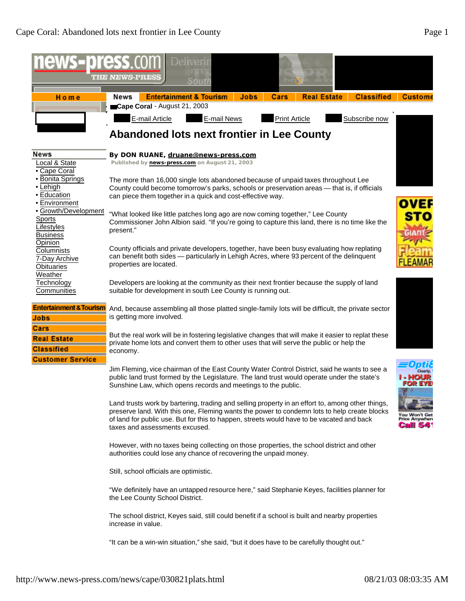

"It can be a win-win situation," she said, "but it does have to be carefully thought out."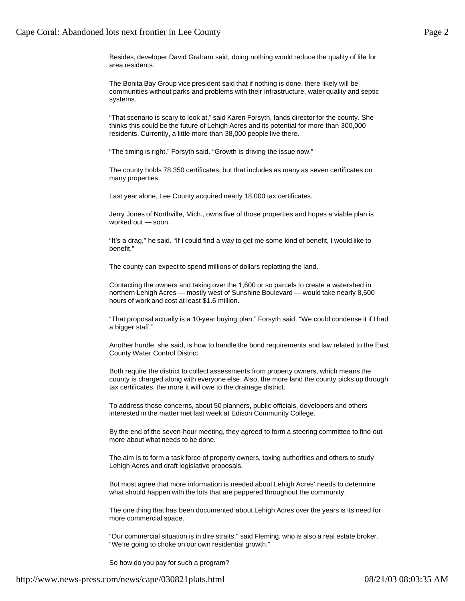Besides, developer David Graham said, doing nothing would reduce the quality of life for area residents.

The Bonita Bay Group vice president said that if nothing is done, there likely will be communities without parks and problems with their infrastructure, water quality and septic systems.

"That scenario is scary to look at," said Karen Forsyth, lands director for the county. She thinks this could be the future of Lehigh Acres and its potential for more than 300,000 residents. Currently, a little more than 38,000 people live there.

"The timing is right," Forsyth said. "Growth is driving the issue now."

The county holds 78,350 certificates, but that includes as many as seven certificates on many properties.

Last year alone, Lee County acquired nearly 18,000 tax certificates.

Jerry Jones of Northville, Mich., owns five of those properties and hopes a viable plan is worked out — soon.

"It's a drag," he said. "If I could find a way to get me some kind of benefit, I would like to benefit."

The county can expect to spend millions of dollars replatting the land.

Contacting the owners and taking over the 1,600 or so parcels to create a watershed in northern Lehigh Acres — mostly west of Sunshine Boulevard — would take nearly 8,500 hours of work and cost at least \$1.6 million.

"That proposal actually is a 10-year buying plan," Forsyth said. "We could condense it if I had a bigger staff."

Another hurdle, she said, is how to handle the bond requirements and law related to the East County Water Control District.

Both require the district to collect assessments from property owners, which means the county is charged along with everyone else. Also, the more land the county picks up through tax certificates, the more it will owe to the drainage district.

To address those concerns, about 50 planners, public officials, developers and others interested in the matter met last week at Edison Community College.

By the end of the seven-hour meeting, they agreed to form a steering committee to find out more about what needs to be done.

The aim is to form a task force of property owners, taxing authorities and others to study Lehigh Acres and draft legislative proposals.

But most agree that more information is needed about Lehigh Acres' needs to determine what should happen with the lots that are peppered throughout the community.

The one thing that has been documented about Lehigh Acres over the years is its need for more commercial space.

"Our commercial situation is in dire straits," said Fleming, who is also a real estate broker. "We're going to choke on our own residential growth."

So how do you pay for such a program?